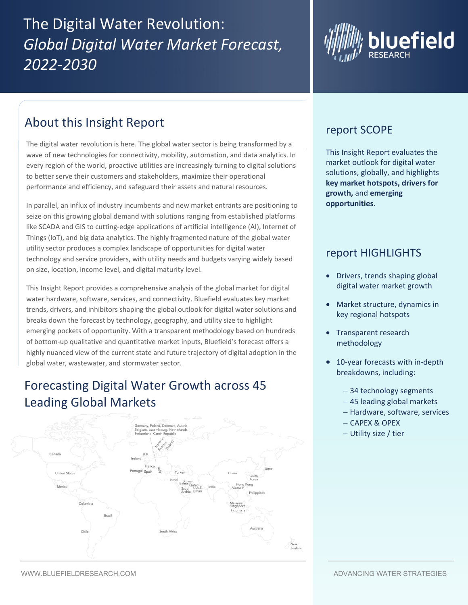## The Digital Water Revolution: Global Digital Water Market Forecast, ZUZZ-ZU3U *2022-2030*



## About this Insight Report

The digital water revolution is here. The global water sector is being transformed by a wave of new technologies for connectivity, mobility, automation, and data analytics. In every region of the world, proactive utilities are increasingly turning to digital solutions to better serve their customers and stakeholders, maximize their operational performance and efficiency, and safeguard their assets and natural resources.

In parallel, an influx of industry incumbents and new market entrants are positioning to seize on this growing global demand with solutions ranging from established platforms like SCADA and GIS to cutting-edge applications of artificial intelligence (AI), Internet of Things (IoT), and big data analytics. The highly fragmented nature of the global water utility sector produces a complex landscape of opportunities for digital water technology and service providers, with utility needs and budgets varying widely based on size, location, income level, and digital maturity level.

This Insight Report provides a comprehensive analysis of the global market for digital water hardware, software, services, and connectivity. Bluefield evaluates key market trends, drivers, and inhibitors shaping the global outlook for digital water solutions and breaks down the forecast by technology, geography, and utility size to highlight emerging pockets of opportunity. With a transparent methodology based on hundreds of bottom-up qualitative and quantitative market inputs, Bluefield's forecast offers a highly nuanced view of the current state and future trajectory of digital adoption in the global water, wastewater, and stormwater sector.

## Forecasting Digital Water Growth across 45 Leading Global Markets



## report SCOPE

This Insight Report evaluates the market outlook for digital water solutions, globally, and highlights **key market hotspots, drivers for growth,** and **emerging opportunities**.

### report HIGHLIGHTS

- Drivers, trends shaping global digital water market growth
- Market structure, dynamics in key regional hotspots
- Transparent research methodology
- 10-year forecasts with in-depth breakdowns, including:
	- − 34 technology segments
	- − 45 leading global markets
	- − Hardware, software, services
	- − CAPEX & OPEX
	- − Utility size / tier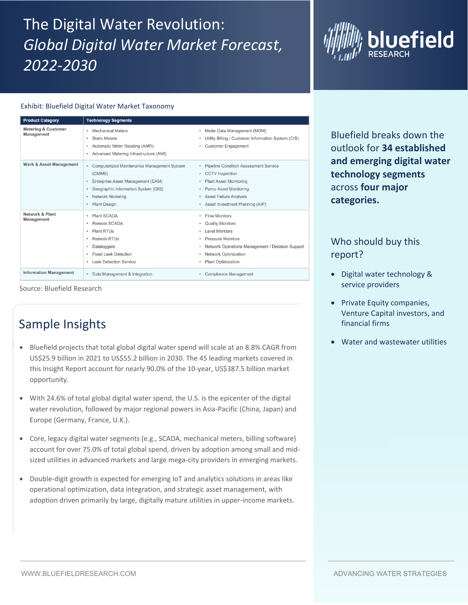# The Digital Water Revolution: *Global Digital Water Market Forecast, 2022-2030*



#### Exhibit: Bluefield Digital Water Market Taxonomy

| <b>Product Category</b>                         | <b>Technology Segments</b>                                                                                                                                                                                   |                                                                                                                                                                                                                                    |
|-------------------------------------------------|--------------------------------------------------------------------------------------------------------------------------------------------------------------------------------------------------------------|------------------------------------------------------------------------------------------------------------------------------------------------------------------------------------------------------------------------------------|
| <b>Metering &amp; Customer</b><br>Management    | <b>Mechanical Meters</b><br>$\bullet$<br><b>Static Meters</b><br>٠<br>Automatic Meter Reading (AMR)<br>٠<br>Advanced Metering Infrastructure (AMI)<br>٠                                                      | Meter Data Management (MDM)<br>٠<br>Utility Billing / Customer Information System (CIS)<br>$\bullet$<br><b>Customer Engagement</b>                                                                                                 |
| <b>Work &amp; Asset Management</b>              | Computerized Maintenance Management System<br>$\bullet$<br>(CMMS)<br>Enterprise Asset Management (EAM)<br>٠<br>Geographic Information System (GIS)<br>٠<br>Network Modeling<br>٠<br><b>Plant Design</b><br>٠ | <b>Pipeline Condition Assessment Service</b><br><b>CCTV</b> Inspection<br>٠<br><b>Plant Asset Monitoring</b><br><b>Pump Asset Monitoring</b><br>$\bullet$<br><b>Asset Failure Analysis</b><br>٠<br>Asset Investment Planning (AIP) |
| <b>Network &amp; Plant</b><br><b>Management</b> | <b>Plant SCADA</b><br>٠<br>Remote SCADA<br>٠<br><b>Plant RTUs</b><br>٠<br>Remote RTUs<br>٠<br>Dataloggers<br>٠<br><b>Fixed Leak Detection</b><br>٠<br><b>Leak Detection Service</b><br>٠                     | <b>Flow Monitors</b><br><b>Quality Monitors</b><br>٠<br><b>Level Monitors</b><br>٠<br><b>Pressure Monitors</b><br>٠<br>Network Operations Management / Decision Support<br>Network Optimization<br><b>Plant Optimization</b>       |
| <b>Information Management</b>                   | Data Management & Integration<br>٠                                                                                                                                                                           | Compliance Management                                                                                                                                                                                                              |

Source: Bluefield Research

## Sample Insights

- Bluefield projects that total global digital water spend will scale at an 8.8% CAGR from US\$25.9 billion in 2021 to US\$55.2 billion in 2030. The 45 leading markets covered in this Insight Report account for nearly 90.0% of the 10-year, US\$387.5 billion market opportunity.
- With 24.6% of total global digital water spend, the U.S. is the epicenter of the digital water revolution, followed by major regional powers in Asia-Pacific (China, Japan) and Europe (Germany, France, U.K.).
- Core, legacy digital water segments (e.g., SCADA, mechanical meters, billing software) account for over 75.0% of total global spend, driven by adoption among small and midsized utilities in advanced markets and large mega-city providers in emerging markets.
- Double-digit growth is expected for emerging IoT and analytics solutions in areas like operational optimization, data integration, and strategic asset management, with adoption driven primarily by large, digitally mature utilities in upper-income markets.

or<br>" Bluefield breaks down the outlook for **34 established and emerging digital water technology segments** across **four major categories.**

### Who should buy this report? The data and qualitative of

- Digital water technology &  $p^{\text{in}}$ service providers
- Private Equity companies, Venture Capital investors, and financial firms
- Water and wastewater utilities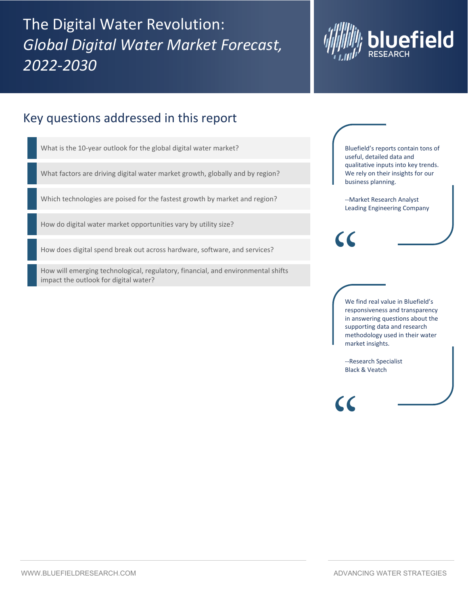The Digital Water Revolution: *Global Digital Water Market Forecast, 2022-2030*



### Key questions addressed in this report

What is the 10-year outlook for the global digital water market?

What factors are driving digital water market growth, globally and by region?

Which technologies are poised for the fastest growth by market and region?

How do digital water market opportunities vary by utility size?

How does digital spend break out across hardware, software, and services?

How will emerging technological, regulatory, financial, and environmental shifts impact the outlook for digital water?

Bluefield's reports contain tons of useful, detailed data and qualitative inputs into key trends. We rely on their insights for our business planning.

--Market Research Analyst Leading Engineering Company

We find real value in Bluefield's responsiveness and transparency in answering questions about the supporting data and research methodology used in their water market insights.

--Research Specialist Black & Veatch

 $\epsilon$ 

"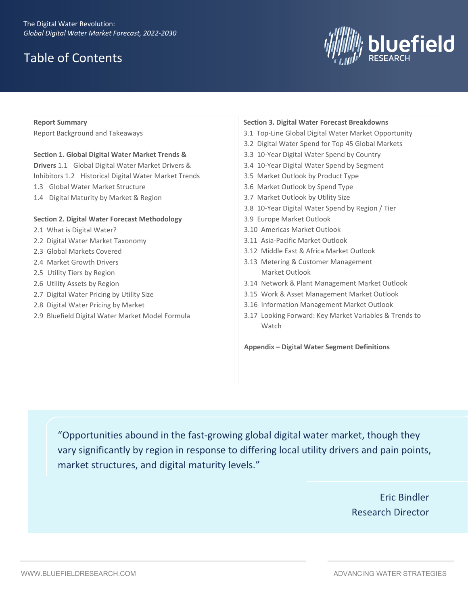## Table of Contents



| <b>Report Summary</b> |                                                         | <b>Section 3. Digital Water Forecast Breakdowns</b>    |  |
|-----------------------|---------------------------------------------------------|--------------------------------------------------------|--|
|                       | Report Background and Takeaways                         | 3.1 Top-Line Global Digital Water Market Opportunity   |  |
|                       |                                                         | 3.2 Digital Water Spend for Top 45 Global Markets      |  |
|                       | Section 1. Global Digital Water Market Trends & Drivers | 3.3 10-Year Digital Water Spend by Country             |  |
|                       | 1.1 Global Digital Water Market Drivers & Inhibitors    | 3.4 10-Year Digital Water Spend by Segment             |  |
|                       | 1.2 Historical Digital Water Market Trends              | 3.5 Market Outlook by Product Type                     |  |
|                       | 1.3 Global Water Market Structure                       | 3.6 Market Outlook by Spend Type                       |  |
|                       | 1.4 Digital Maturity by Market & Region                 | 3.7 Market Outlook by Utility Size                     |  |
|                       |                                                         | 3.8 10-Year Digital Water Spend by Region / Tier       |  |
|                       | Section 2. Digital Water Forecast Methodology           | 3.9 Europe Market Outlook                              |  |
|                       | 2.1 What is Digital Water?                              | 3.10 Americas Market Outlook                           |  |
|                       | 2.2 Digital Water Market Taxonomy                       | 3.11 Asia-Pacific Market Outlook                       |  |
|                       | 2.3 Global Markets Covered                              | 3.12 Middle East & Africa Market Outlook               |  |
|                       | 2.4 Market Growth Drivers                               | 3.13 Metering & Customer Management                    |  |
|                       | 2.5 Utility Tiers by Region                             | Market Outlook                                         |  |
|                       | 2.6 Utility Assets by Region                            | 3.14 Network & Plant Management Market Outlook         |  |
|                       | 2.7 Digital Water Pricing by Utility Size               | 3.15 Work & Asset Management Market Outlook            |  |
|                       | 2.8 Digital Water Pricing by Market                     | 3.16 Information Management Market Outlook             |  |
|                       | 2.9 Bluefield Digital Water Market Model Formula        | 3.17 Looking Forward: Key Market Variables & Trends to |  |

"Opportunities abound in the fast-growing global digital water market, though they vary significantly by region in response to differing local utility drivers and pain points,

Watch

**Appendix – Digital Water Segment Definitions**

market structures, and digital maturity levels."

Eric Bindler Research Director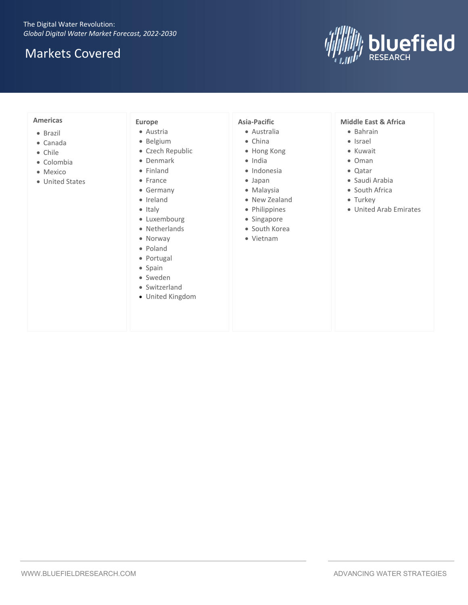## Markets Covered



#### **Americas**

- Brazil
- Canada
- Chile
- Colombia
- Mexico
- United States

#### **Europe**

- Austria
- Belgium
- Czech Republic
- Denmark
- Finland
- France
- Germany
- Ireland
- Italy
- Luxembourg
- Netherlands
- Norway
- Poland
- Portugal
- Spain
- Sweden
- Switzerland
- United Kingdom

#### **Asia-Pacific**

- Australia
- China
- Hong Kong
- India
- Indonesia
- Japan
- Malaysia
- New Zealand
- Philippines
- Singapore
- South Korea
- Vietnam

#### **Middle East & Africa**

- Bahrain
- Israel
- Kuwait
- Oman
- Qatar
- Saudi Arabia
- South Africa
- Turkey
- United Arab Emirates